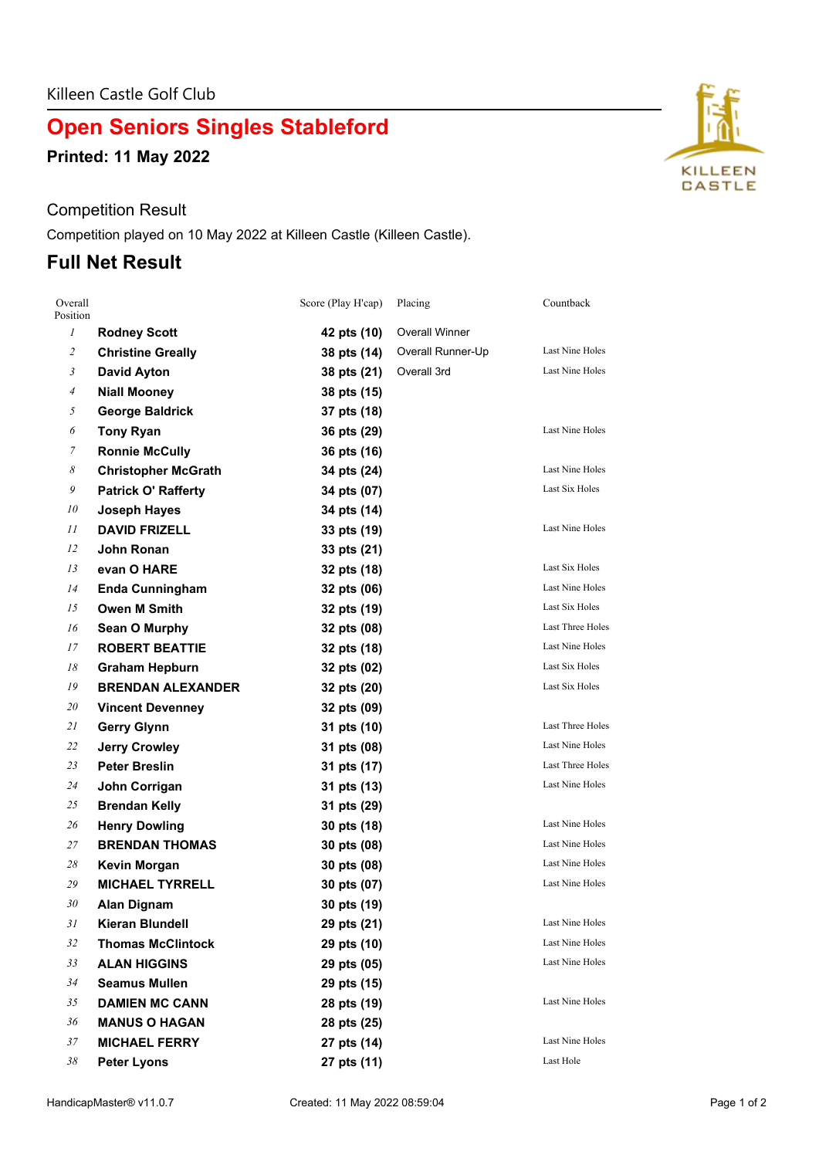# **Open Seniors Singles Stableford**

**Printed: 11 May 2022**

#### Competition Result

Competition played on 10 May 2022 at Killeen Castle (Killeen Castle).

### **Full Net Result**

| Overall<br>Position   |                            | Score (Play H'cap) | Placing               | Countback              |
|-----------------------|----------------------------|--------------------|-----------------------|------------------------|
| $\mathfrak{I}$        | <b>Rodney Scott</b>        | 42 pts (10)        | <b>Overall Winner</b> |                        |
| $\overline{c}$        | <b>Christine Greally</b>   | 38 pts (14)        | Overall Runner-Up     | Last Nine Holes        |
| 3                     | <b>David Ayton</b>         | 38 pts (21)        | Overall 3rd           | Last Nine Holes        |
| 4                     | <b>Niall Mooney</b>        | 38 pts (15)        |                       |                        |
| 5                     | <b>George Baldrick</b>     | 37 pts (18)        |                       |                        |
| 6                     | <b>Tony Ryan</b>           | 36 pts (29)        |                       | Last Nine Holes        |
| 7                     | <b>Ronnie McCully</b>      | 36 pts (16)        |                       |                        |
| $\boldsymbol{\delta}$ | <b>Christopher McGrath</b> | 34 pts (24)        |                       | <b>Last Nine Holes</b> |
| 9                     | <b>Patrick O' Rafferty</b> | 34 pts (07)        |                       | Last Six Holes         |
| 10                    | <b>Joseph Hayes</b>        | 34 pts (14)        |                       |                        |
| 11                    | <b>DAVID FRIZELL</b>       | 33 pts (19)        |                       | Last Nine Holes        |
| 12                    | John Ronan                 | 33 pts (21)        |                       |                        |
| 13                    | evan O HARE                | 32 pts (18)        |                       | Last Six Holes         |
| 14                    | <b>Enda Cunningham</b>     | 32 pts (06)        |                       | Last Nine Holes        |
| 15                    | <b>Owen M Smith</b>        | 32 pts (19)        |                       | <b>Last Six Holes</b>  |
| 16                    | Sean O Murphy              | 32 pts (08)        |                       | Last Three Holes       |
| 17                    | <b>ROBERT BEATTIE</b>      | 32 pts (18)        |                       | Last Nine Holes        |
| 18                    | <b>Graham Hepburn</b>      | 32 pts (02)        |                       | <b>Last Six Holes</b>  |
| 19                    | <b>BRENDAN ALEXANDER</b>   | 32 pts (20)        |                       | Last Six Holes         |
| 20                    | <b>Vincent Devenney</b>    | 32 pts (09)        |                       |                        |
| 21                    | <b>Gerry Glynn</b>         | 31 pts (10)        |                       | Last Three Holes       |
| 22                    | <b>Jerry Crowley</b>       | 31 pts (08)        |                       | Last Nine Holes        |
| 23                    | <b>Peter Breslin</b>       | 31 pts (17)        |                       | Last Three Holes       |
| 24                    | John Corrigan              | 31 pts (13)        |                       | Last Nine Holes        |
| 25                    | <b>Brendan Kelly</b>       | 31 pts (29)        |                       |                        |
| 26                    | <b>Henry Dowling</b>       | 30 pts (18)        |                       | Last Nine Holes        |
| 27                    | <b>BRENDAN THOMAS</b>      | 30 pts (08)        |                       | Last Nine Holes        |
| 28                    | Kevin Morgan               | 30 pts (08)        |                       | <b>Last Nine Holes</b> |
| 29                    | <b>MICHAEL TYRRELL</b>     | 30 pts (07)        |                       | <b>Last Nine Holes</b> |
| 30                    | <b>Alan Dignam</b>         | 30 pts (19)        |                       |                        |
| 31                    | <b>Kieran Blundell</b>     | 29 pts (21)        |                       | <b>Last Nine Holes</b> |
| 32                    | <b>Thomas McClintock</b>   | 29 pts (10)        |                       | Last Nine Holes        |
| 33                    | <b>ALAN HIGGINS</b>        | 29 pts (05)        |                       | <b>Last Nine Holes</b> |
| 34                    | <b>Seamus Mullen</b>       | 29 pts (15)        |                       |                        |
| 35                    | <b>DAMIEN MC CANN</b>      | 28 pts (19)        |                       | Last Nine Holes        |
| 36                    | <b>MANUS O HAGAN</b>       | 28 pts (25)        |                       |                        |
| 37                    | <b>MICHAEL FERRY</b>       | 27 pts (14)        |                       | Last Nine Holes        |
| 38                    | <b>Peter Lyons</b>         | 27 pts (11)        |                       | Last Hole              |